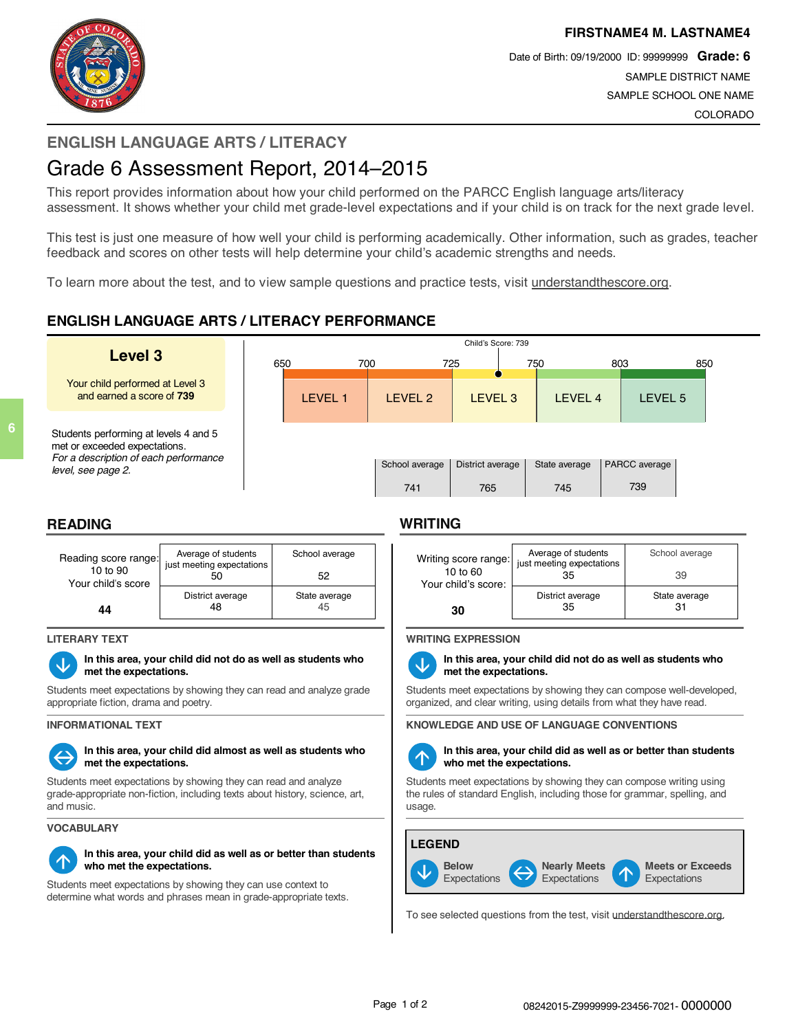



Date of Birth: 09/19/2000 ID: 99999999 **Grade: 6** SAMPLE DISTRICT NAME SAMPLE SCHOOL ONE NAME COLORADO

# **ENGLISH LANGUAGE ARTS / LITERACY**

# Grade 6 Assessment Report, 2014–2015

This report provides information about how your child performed on the PARCC English language arts/literacy assessment. It shows whether your child met grade-level expectations and if your child is on track for the next grade level.

This test is just one measure of how well your child is performing academically. Other information, such as grades, teacher feedback and scores on other tests will help determine your child's academic strengths and needs.

To learn more about the test, and to view sample questions and practice tests, visit understandthescore.org.

## **ENGLISH LANGUAGE ARTS / LITERACY PERFORMANCE**

|                                                                                                                                       |     | Child's Score: 739 |     |                       |                         |  |                      |     |                      |     |  |
|---------------------------------------------------------------------------------------------------------------------------------------|-----|--------------------|-----|-----------------------|-------------------------|--|----------------------|-----|----------------------|-----|--|
| Level 3                                                                                                                               | 650 |                    | 700 |                       | 725                     |  | 750                  | 803 |                      | 850 |  |
| Your child performed at Level 3<br>and earned a score of 739                                                                          |     | <b>LEVEL 1</b>     |     | LEVEL 2               | LEVEL <sub>3</sub>      |  | LEVEL 4              |     | LEVEL 5              |     |  |
| Students performing at levels 4 and 5<br>met or exceeded expectations.<br>For a description of each performance<br>level, see page 2. |     |                    |     | School average<br>741 | District average<br>765 |  | State average<br>745 |     | PARCC average<br>739 |     |  |

## **READING WRITING**

**6**





**â In this area, your child did not do as well as students who**

Students meet expectations by showing they can read and analyze grade appropriate fiction, drama and poetry.

# **ßà In this area, your child did almost as well as students who**

Students meet expectations by showing they can read and analyze grade-appropriate non-fiction, including texts about history, science, art, and music.

#### **VOCABULARY**



### **á In this area, your child did as well as or better than students who met the expectations.**

Students meet expectations by showing they can use context to determine what words and phrases mean in grade-appropriate texts.

| Writing score range:<br>$10$ to $60$<br>Your child's score:<br>30 | Average of students<br>just meeting expectations<br>35 | School average<br>39 |  |  |  |
|-------------------------------------------------------------------|--------------------------------------------------------|----------------------|--|--|--|
|                                                                   | District average<br>35                                 | State average<br>31  |  |  |  |

### **LITERARY TEXT WRITING EXPRESSION**



### **met the expectations. â In this area, your child did not do as well as students who met the expectations.**

Students meet expectations by showing they can compose well-developed, organized, and clear writing, using details from what they have read.

**INFORMATIONAL TEXT KNOWLEDGE AND USE OF LANGUAGE CONVENTIONS**



#### **hether the expectations** well as or better than students who met the expectations **who met the expectations.**

Students meet expectations by showing they can compose writing using the rules of standard English, including those for grammar, spelling, and usage.



To see selected questions from the test, visit understandthescore.org.